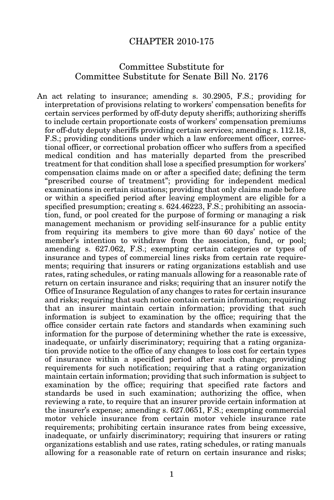## CHAPTER 2010-175

## Committee Substitute for Committee Substitute for Senate Bill No. 2176

An act relating to insurance; amending s. 30.2905, F.S.; providing for interpretation of provisions relating to workers' compensation benefits for certain services performed by off-duty deputy sheriffs; authorizing sheriffs to include certain proportionate costs of workers' compensation premiums for off-duty deputy sheriffs providing certain services; amending s. 112.18, F.S.; providing conditions under which a law enforcement officer, correctional officer, or correctional probation officer who suffers from a specified medical condition and has materially departed from the prescribed treatment for that condition shall lose a specified presumption for workers' compensation claims made on or after a specified date; defining the term "prescribed course of treatment"; providing for independent medical examinations in certain situations; providing that only claims made before or within a specified period after leaving employment are eligible for a specified presumption; creating s. 624.46223, F.S.; prohibiting an association, fund, or pool created for the purpose of forming or managing a risk management mechanism or providing self-insurance for a public entity from requiring its members to give more than 60 days' notice of the member's intention to withdraw from the association, fund, or pool; amending s. 627.062, F.S.; exempting certain categories or types of insurance and types of commercial lines risks from certain rate requirements; requiring that insurers or rating organizations establish and use rates, rating schedules, or rating manuals allowing for a reasonable rate of return on certain insurance and risks; requiring that an insurer notify the Office of Insurance Regulation of any changes to rates for certain insurance and risks; requiring that such notice contain certain information; requiring that an insurer maintain certain information; providing that such information is subject to examination by the office; requiring that the office consider certain rate factors and standards when examining such information for the purpose of determining whether the rate is excessive, inadequate, or unfairly discriminatory; requiring that a rating organization provide notice to the office of any changes to loss cost for certain types of insurance within a specified period after such change; providing requirements for such notification; requiring that a rating organization maintain certain information; providing that such information is subject to examination by the office; requiring that specified rate factors and standards be used in such examination; authorizing the office, when reviewing a rate, to require that an insurer provide certain information at the insurer's expense; amending s. 627.0651, F.S.; exempting commercial motor vehicle insurance from certain motor vehicle insurance rate requirements; prohibiting certain insurance rates from being excessive, inadequate, or unfairly discriminatory; requiring that insurers or rating organizations establish and use rates, rating schedules, or rating manuals allowing for a reasonable rate of return on certain insurance and risks;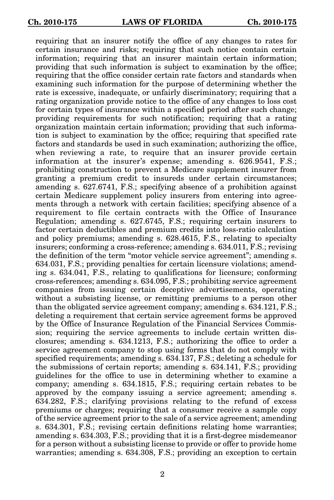requiring that an insurer notify the office of any changes to rates for certain insurance and risks; requiring that such notice contain certain information; requiring that an insurer maintain certain information; providing that such information is subject to examination by the office; requiring that the office consider certain rate factors and standards when examining such information for the purpose of determining whether the rate is excessive, inadequate, or unfairly discriminatory; requiring that a rating organization provide notice to the office of any changes to loss cost for certain types of insurance within a specified period after such change; providing requirements for such notification; requiring that a rating organization maintain certain information; providing that such information is subject to examination by the office; requiring that specified rate factors and standards be used in such examination; authorizing the office, when reviewing a rate, to require that an insurer provide certain information at the insurer's expense; amending s. 626.9541, F.S.; prohibiting construction to prevent a Medicare supplement insurer from granting a premium credit to insureds under certain circumstances; amending s. 627.6741, F.S.; specifying absence of a prohibition against certain Medicare supplement policy insurers from entering into agreements through a network with certain facilities; specifying absence of a requirement to file certain contracts with the Office of Insurance Regulation; amending s. 627.6745, F.S.; requiring certain insurers to factor certain deductibles and premium credits into loss-ratio calculation and policy premiums; amending s. 628.4615, F.S., relating to specialty insurers; conforming a cross-reference; amending s. 634.011, F.S.; revising the definition of the term "motor vehicle service agreement"; amending s. 634.031, F.S.; providing penalties for certain licensure violations; amending s. 634.041, F.S., relating to qualifications for licensure; conforming cross-references; amending s. 634.095, F.S.; prohibiting service agreement companies from issuing certain deceptive advertisements, operating without a subsisting license, or remitting premiums to a person other than the obligated service agreement company; amending s. 634.121, F.S.; deleting a requirement that certain service agreement forms be approved by the Office of Insurance Regulation of the Financial Services Commission; requiring the service agreements to include certain written disclosures; amending s. 634.1213, F.S.; authorizing the office to order a service agreement company to stop using forms that do not comply with specified requirements; amending s. 634.137, F.S.; deleting a schedule for the submissions of certain reports; amending s. 634.141, F.S.; providing guidelines for the office to use in determining whether to examine a company; amending s. 634.1815, F.S.; requiring certain rebates to be approved by the company issuing a service agreement; amending s. 634.282, F.S.; clarifying provisions relating to the refund of excess premiums or charges; requiring that a consumer receive a sample copy of the service agreement prior to the sale of a service agreement; amending s. 634.301, F.S.; revising certain definitions relating home warranties; amending s. 634.303, F.S.; providing that it is a first-degree misdemeanor for a person without a subsisting license to provide or offer to provide home warranties; amending s. 634.308, F.S.; providing an exception to certain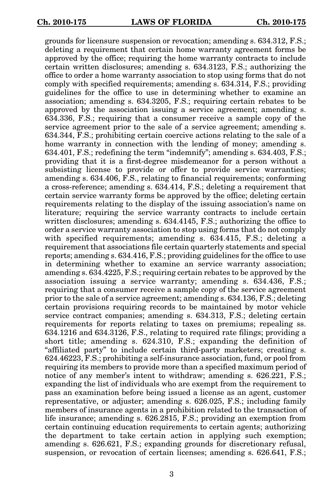grounds for licensure suspension or revocation; amending s. 634.312, F.S.; deleting a requirement that certain home warranty agreement forms be approved by the office; requiring the home warranty contracts to include certain written disclosures; amending s. 634.3123, F.S.; authorizing the office to order a home warranty association to stop using forms that do not comply with specified requirements; amending s. 634.314, F.S.; providing guidelines for the office to use in determining whether to examine an association; amending s. 634.3205, F.S.; requiring certain rebates to be approved by the association issuing a service agreement; amending s. 634.336, F.S.; requiring that a consumer receive a sample copy of the service agreement prior to the sale of a service agreement; amending s. 634.344, F.S.; prohibiting certain coercive actions relating to the sale of a home warranty in connection with the lending of money; amending s. 634.401, F.S.; redefining the term "indemnify"; amending s. 634.403, F.S.; providing that it is a first-degree misdemeanor for a person without a subsisting license to provide or offer to provide service warranties; amending s. 634.406, F.S., relating to financial requirements; conforming a cross-reference; amending s. 634.414, F.S.; deleting a requirement that certain service warranty forms be approved by the office; deleting certain requirements relating to the display of the issuing association's name on literature; requiring the service warranty contracts to include certain written disclosures; amending s. 634.4145, F.S.; authorizing the office to order a service warranty association to stop using forms that do not comply with specified requirements; amending s. 634.415, F.S.; deleting a requirement that associations file certain quarterly statements and special reports; amending s. 634.416, F.S.; providing guidelines for the office to use in determining whether to examine an service warranty association; amending s. 634.4225, F.S.; requiring certain rebates to be approved by the association issuing a service warranty; amending s. 634.436, F.S.; requiring that a consumer receive a sample copy of the service agreement prior to the sale of a service agreement; amending s. 634.136, F.S.; deleting certain provisions requiring records to be maintained by motor vehicle service contract companies; amending s. 634.313, F.S.; deleting certain requirements for reports relating to taxes on premiums; repealing ss. 634.1216 and 634.3126, F.S., relating to required rate filings; providing a short title; amending s. 624.310, F.S.; expanding the definition of "affiliated party" to include certain third-party marketers; creating s. 624.46223, F.S.; prohibiting a self-insurance association, fund, or pool from requiring its members to provide more than a specified maximum period of notice of any member's intent to withdraw; amending s. 626.221, F.S.; expanding the list of individuals who are exempt from the requirement to pass an examination before being issued a license as an agent, customer representative, or adjuster; amending s. 626.025, F.S.; including family members of insurance agents in a prohibition related to the transaction of life insurance; amending s. 626.2815, F.S.; providing an exemption from certain continuing education requirements to certain agents; authorizing the department to take certain action in applying such exemption; amending s. 626.621, F.S.; expanding grounds for discretionary refusal, suspension, or revocation of certain licenses; amending s. 626.641, F.S.;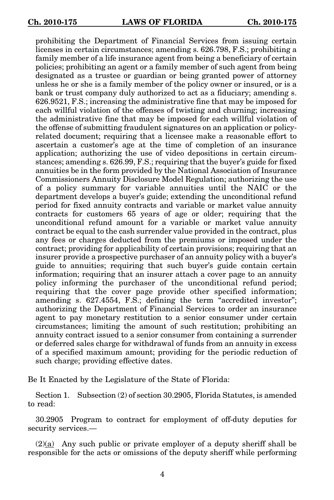prohibiting the Department of Financial Services from issuing certain licenses in certain circumstances; amending s. 626.798, F.S.; prohibiting a family member of a life insurance agent from being a beneficiary of certain policies; prohibiting an agent or a family member of such agent from being designated as a trustee or guardian or being granted power of attorney unless he or she is a family member of the policy owner or insured, or is a bank or trust company duly authorized to act as a fiduciary; amending s. 626.9521, F.S.; increasing the administrative fine that may be imposed for each willful violation of the offenses of twisting and churning; increasing the administrative fine that may be imposed for each willful violation of the offense of submitting fraudulent signatures on an application or policyrelated document; requiring that a licensee make a reasonable effort to ascertain a customer's age at the time of completion of an insurance application; authorizing the use of video depositions in certain circumstances; amending s. 626.99, F.S.; requiring that the buyer's guide for fixed annuities be in the form provided by the National Association of Insurance Commissioners Annuity Disclosure Model Regulation; authorizing the use of a policy summary for variable annuities until the NAIC or the department develops a buyer's guide; extending the unconditional refund period for fixed annuity contracts and variable or market value annuity contracts for customers 65 years of age or older; requiring that the unconditional refund amount for a variable or market value annuity contract be equal to the cash surrender value provided in the contract, plus any fees or charges deducted from the premiums or imposed under the contract; providing for applicability of certain provisions; requiring that an insurer provide a prospective purchaser of an annuity policy with a buyer's guide to annuities; requiring that such buyer's guide contain certain information; requiring that an insurer attach a cover page to an annuity policy informing the purchaser of the unconditional refund period; requiring that the cover page provide other specified information; amending s. 627.4554, F.S.; defining the term "accredited investor"; authorizing the Department of Financial Services to order an insurance agent to pay monetary restitution to a senior consumer under certain circumstances; limiting the amount of such restitution; prohibiting an annuity contract issued to a senior consumer from containing a surrender or deferred sales charge for withdrawal of funds from an annuity in excess of a specified maximum amount; providing for the periodic reduction of such charge; providing effective dates.

Be It Enacted by the Legislature of the State of Florida:

Section 1. Subsection (2) of section 30.2905, Florida Statutes, is amended to read:

30.2905 Program to contract for employment of off-duty deputies for security services.—

 $(2)(a)$  Any such public or private employer of a deputy sheriff shall be responsible for the acts or omissions of the deputy sheriff while performing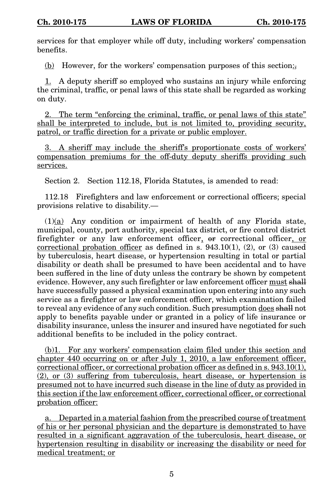services for that employer while off duty, including workers' compensation benefits.

(b) However, for the workers' compensation purposes of this section:

1. A deputy sheriff so employed who sustains an injury while enforcing the criminal, traffic, or penal laws of this state shall be regarded as working on duty.

2. The term "enforcing the criminal, traffic, or penal laws of this state" shall be interpreted to include, but is not limited to, providing security, patrol, or traffic direction for a private or public employer.

3. A sheriff may include the sheriff's proportionate costs of workers' compensation premiums for the off-duty deputy sheriffs providing such services.

Section 2. Section 112.18, Florida Statutes, is amended to read:

112.18 Firefighters and law enforcement or correctional officers; special provisions relative to disability.—

(1)(a) Any condition or impairment of health of any Florida state, municipal, county, port authority, special tax district, or fire control district firefighter or any law enforcement officer, or correctional officer, or correctional probation officer as defined in s.  $943.10(1)$ ,  $(2)$ , or  $(3)$  caused by tuberculosis, heart disease, or hypertension resulting in total or partial disability or death shall be presumed to have been accidental and to have been suffered in the line of duty unless the contrary be shown by competent evidence. However, any such firefighter or law enforcement officer must shall have successfully passed a physical examination upon entering into any such service as a firefighter or law enforcement officer, which examination failed to reveal any evidence of any such condition. Such presumption does shall not apply to benefits payable under or granted in a policy of life insurance or disability insurance, unless the insurer and insured have negotiated for such additional benefits to be included in the policy contract.

(b)1. For any workers' compensation claim filed under this section and chapter 440 occurring on or after July 1, 2010, a law enforcement officer, correctional officer, or correctional probation officer as defined in s. 943.10(1), (2), or (3) suffering from tuberculosis, heart disease, or hypertension is presumed not to have incurred such disease in the line of duty as provided in this section if the law enforcement officer, correctional officer, or correctional probation officer:

a. Departed in a material fashion from the prescribed course of treatment of his or her personal physician and the departure is demonstrated to have resulted in a significant aggravation of the tuberculosis, heart disease, or hypertension resulting in disability or increasing the disability or need for medical treatment; or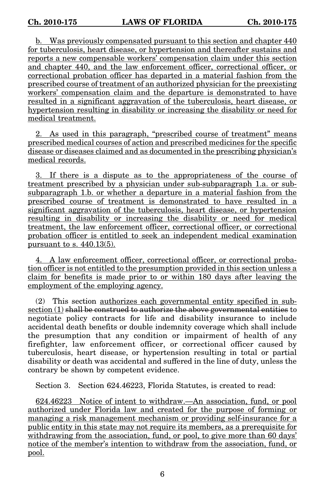b. Was previously compensated pursuant to this section and chapter 440 for tuberculosis, heart disease, or hypertension and thereafter sustains and reports a new compensable workers' compensation claim under this section and chapter 440, and the law enforcement officer, correctional officer, or correctional probation officer has departed in a material fashion from the prescribed course of treatment of an authorized physician for the preexisting workers' compensation claim and the departure is demonstrated to have resulted in a significant aggravation of the tuberculosis, heart disease, or hypertension resulting in disability or increasing the disability or need for medical treatment.

2. As used in this paragraph, "prescribed course of treatment" means prescribed medical courses of action and prescribed medicines for the specific disease or diseases claimed and as documented in the prescribing physician's medical records.

3. If there is a dispute as to the appropriateness of the course of treatment prescribed by a physician under sub-subparagraph 1.a. or subsubparagraph 1.b. or whether a departure in a material fashion from the prescribed course of treatment is demonstrated to have resulted in a significant aggravation of the tuberculosis, heart disease, or hypertension resulting in disability or increasing the disability or need for medical treatment, the law enforcement officer, correctional officer, or correctional probation officer is entitled to seek an independent medical examination pursuant to s. 440.13(5).

4. A law enforcement officer, correctional officer, or correctional probation officer is not entitled to the presumption provided in this section unless a claim for benefits is made prior to or within 180 days after leaving the employment of the employing agency.

(2) This section authorizes each governmental entity specified in subsection (1) shall be construed to authorize the above governmental entities to negotiate policy contracts for life and disability insurance to include accidental death benefits or double indemnity coverage which shall include the presumption that any condition or impairment of health of any firefighter, law enforcement officer, or correctional officer caused by tuberculosis, heart disease, or hypertension resulting in total or partial disability or death was accidental and suffered in the line of duty, unless the contrary be shown by competent evidence.

Section 3. Section 624.46223, Florida Statutes, is created to read:

624.46223 Notice of intent to withdraw.—An association, fund, or pool authorized under Florida law and created for the purpose of forming or managing a risk management mechanism or providing self-insurance for a public entity in this state may not require its members, as a prerequisite for withdrawing from the association, fund, or pool, to give more than 60 days' notice of the member's intention to withdraw from the association, fund, or pool.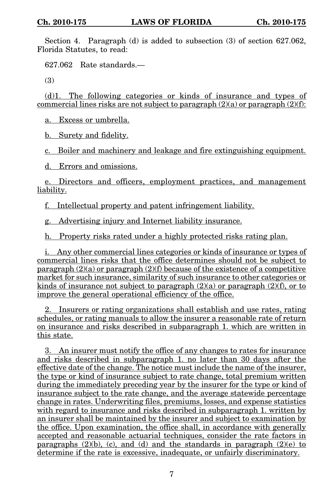Section 4. Paragraph (d) is added to subsection (3) of section 627.062, Florida Statutes, to read:

627.062 Rate standards.—

(3)

(d)1. The following categories or kinds of insurance and types of commercial lines risks are not subject to paragraph  $(2)(a)$  or paragraph  $(2)(f)$ :

a. Excess or umbrella.

b. Surety and fidelity.

c. Boiler and machinery and leakage and fire extinguishing equipment.

d. Errors and omissions.

e. Directors and officers, employment practices, and management liability.

f. Intellectual property and patent infringement liability.

g. Advertising injury and Internet liability insurance.

h. Property risks rated under a highly protected risks rating plan.

i. Any other commercial lines categories or kinds of insurance or types of commercial lines risks that the office determines should not be subject to paragraph  $(2)(a)$  or paragraph  $(2)(f)$  because of the existence of a competitive market for such insurance, similarity of such insurance to other categories or kinds of insurance not subject to paragraph  $(2)(a)$  or paragraph  $(2)(f)$ , or to improve the general operational efficiency of the office.

2. Insurers or rating organizations shall establish and use rates, rating schedules, or rating manuals to allow the insurer a reasonable rate of return on insurance and risks described in subparagraph 1. which are written in this state.

3. An insurer must notify the office of any changes to rates for insurance and risks described in subparagraph 1. no later than 30 days after the effective date of the change. The notice must include the name of the insurer, the type or kind of insurance subject to rate change, total premium written during the immediately preceding year by the insurer for the type or kind of insurance subject to the rate change, and the average statewide percentage change in rates. Underwriting files, premiums, losses, and expense statistics with regard to insurance and risks described in subparagraph 1. written by an insurer shall be maintained by the insurer and subject to examination by the office. Upon examination, the office shall, in accordance with generally accepted and reasonable actuarial techniques, consider the rate factors in paragraphs  $(2)(b)$ ,  $(c)$ , and  $(d)$  and the standards in paragraph  $(2)(e)$  to determine if the rate is excessive, inadequate, or unfairly discriminatory.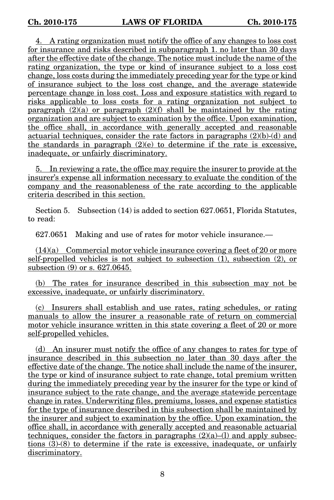4. A rating organization must notify the office of any changes to loss cost for insurance and risks described in subparagraph 1. no later than 30 days after the effective date of the change. The notice must include the name of the rating organization, the type or kind of insurance subject to a loss cost change, loss costs during the immediately preceding year for the type or kind of insurance subject to the loss cost change, and the average statewide percentage change in loss cost. Loss and exposure statistics with regard to risks applicable to loss costs for a rating organization not subject to paragraph  $(2)(a)$  or paragraph  $(2)(f)$  shall be maintained by the rating organization and are subject to examination by the office. Upon examination, the office shall, in accordance with generally accepted and reasonable actuarial techniques, consider the rate factors in paragraphs (2)(b)-(d) and the standards in paragraph  $(2)(e)$  to determine if the rate is excessive, inadequate, or unfairly discriminatory.

5. In reviewing a rate, the office may require the insurer to provide at the insurer's expense all information necessary to evaluate the condition of the company and the reasonableness of the rate according to the applicable criteria described in this section.

Section 5. Subsection (14) is added to section 627.0651, Florida Statutes, to read:

627.0651 Making and use of rates for motor vehicle insurance.—

 $(14)(a)$  Commercial motor vehicle insurance covering a fleet of 20 or more self-propelled vehicles is not subject to subsection (1), subsection (2), or subsection (9) or s. 627.0645.

(b) The rates for insurance described in this subsection may not be excessive, inadequate, or unfairly discriminatory.

(c) Insurers shall establish and use rates, rating schedules, or rating manuals to allow the insurer a reasonable rate of return on commercial motor vehicle insurance written in this state covering a fleet of 20 or more self-propelled vehicles.

(d) An insurer must notify the office of any changes to rates for type of insurance described in this subsection no later than 30 days after the effective date of the change. The notice shall include the name of the insurer, the type or kind of insurance subject to rate change, total premium written during the immediately preceding year by the insurer for the type or kind of insurance subject to the rate change, and the average statewide percentage change in rates. Underwriting files, premiums, losses, and expense statistics for the type of insurance described in this subsection shall be maintained by the insurer and subject to examination by the office. Upon examination, the office shall, in accordance with generally accepted and reasonable actuarial techniques, consider the factors in paragraphs  $(2)(a)$ –(1) and apply subsections (3)-(8) to determine if the rate is excessive, inadequate, or unfairly discriminatory.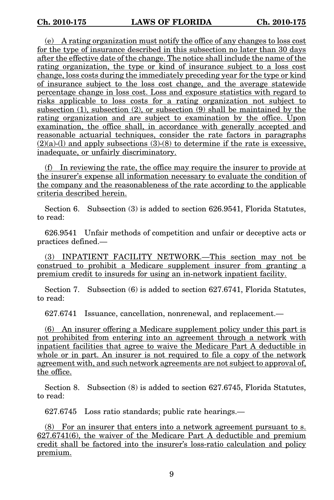(e) A rating organization must notify the office of any changes to loss cost for the type of insurance described in this subsection no later than 30 days after the effective date of the change. The notice shall include the name of the rating organization, the type or kind of insurance subject to a loss cost change, loss costs during the immediately preceding year for the type or kind of insurance subject to the loss cost change, and the average statewide percentage change in loss cost. Loss and exposure statistics with regard to risks applicable to loss costs for a rating organization not subject to subsection (1), subsection (2), or subsection (9) shall be maintained by the rating organization and are subject to examination by the office. Upon examination, the office shall, in accordance with generally accepted and reasonable actuarial techniques, consider the rate factors in paragraphs  $(2)(a)$ -(1) and apply subsections  $(3)$ - $(8)$  to determine if the rate is excessive, inadequate, or unfairly discriminatory.

(f) In reviewing the rate, the office may require the insurer to provide at the insurer's expense all information necessary to evaluate the condition of the company and the reasonableness of the rate according to the applicable criteria described herein.

Section 6. Subsection (3) is added to section 626.9541, Florida Statutes, to read:

626.9541 Unfair methods of competition and unfair or deceptive acts or practices defined.—

(3) INPATIENT FACILITY NETWORK.—This section may not be construed to prohibit a Medicare supplement insurer from granting a premium credit to insureds for using an in-network inpatient facility.

Section 7. Subsection (6) is added to section 627.6741, Florida Statutes, to read:

627.6741 Issuance, cancellation, nonrenewal, and replacement.—

(6) An insurer offering a Medicare supplement policy under this part is not prohibited from entering into an agreement through a network with inpatient facilities that agree to waive the Medicare Part A deductible in whole or in part. An insurer is not required to file a copy of the network agreement with, and such network agreements are not subject to approval of, the office.

Section 8. Subsection (8) is added to section 627.6745, Florida Statutes, to read:

627.6745 Loss ratio standards; public rate hearings.—

(8) For an insurer that enters into a network agreement pursuant to s. 627.6741(6), the waiver of the Medicare Part A deductible and premium credit shall be factored into the insurer's loss-ratio calculation and policy premium.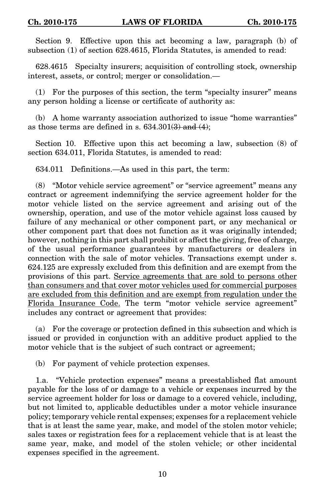Section 9. Effective upon this act becoming a law, paragraph (b) of subsection (1) of section 628.4615, Florida Statutes, is amended to read:

628.4615 Specialty insurers; acquisition of controlling stock, ownership interest, assets, or control; merger or consolidation.—

(1) For the purposes of this section, the term "specialty insurer" means any person holding a license or certificate of authority as:

(b) A home warranty association authorized to issue "home warranties" as those terms are defined in s.  $634.301(3)$  and  $(4)$ ;

Section 10. Effective upon this act becoming a law, subsection (8) of section 634.011, Florida Statutes, is amended to read:

634.011 Definitions.—As used in this part, the term:

(8) "Motor vehicle service agreement" or "service agreement" means any contract or agreement indemnifying the service agreement holder for the motor vehicle listed on the service agreement and arising out of the ownership, operation, and use of the motor vehicle against loss caused by failure of any mechanical or other component part, or any mechanical or other component part that does not function as it was originally intended; however, nothing in this part shall prohibit or affect the giving, free of charge, of the usual performance guarantees by manufacturers or dealers in connection with the sale of motor vehicles. Transactions exempt under s. 624.125 are expressly excluded from this definition and are exempt from the provisions of this part. Service agreements that are sold to persons other than consumers and that cover motor vehicles used for commercial purposes are excluded from this definition and are exempt from regulation under the Florida Insurance Code. The term "motor vehicle service agreement" includes any contract or agreement that provides:

(a) For the coverage or protection defined in this subsection and which is issued or provided in conjunction with an additive product applied to the motor vehicle that is the subject of such contract or agreement;

(b) For payment of vehicle protection expenses.

1.a. "Vehicle protection expenses" means a preestablished flat amount payable for the loss of or damage to a vehicle or expenses incurred by the service agreement holder for loss or damage to a covered vehicle, including, but not limited to, applicable deductibles under a motor vehicle insurance policy; temporary vehicle rental expenses; expenses for a replacement vehicle that is at least the same year, make, and model of the stolen motor vehicle; sales taxes or registration fees for a replacement vehicle that is at least the same year, make, and model of the stolen vehicle; or other incidental expenses specified in the agreement.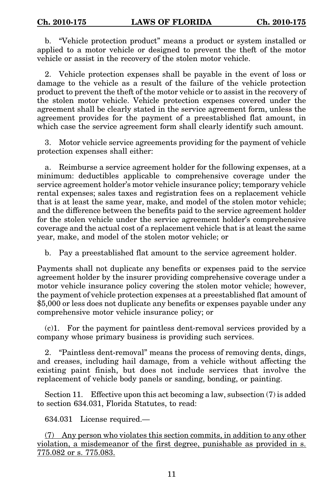b. "Vehicle protection product" means a product or system installed or applied to a motor vehicle or designed to prevent the theft of the motor vehicle or assist in the recovery of the stolen motor vehicle.

2. Vehicle protection expenses shall be payable in the event of loss or damage to the vehicle as a result of the failure of the vehicle protection product to prevent the theft of the motor vehicle or to assist in the recovery of the stolen motor vehicle. Vehicle protection expenses covered under the agreement shall be clearly stated in the service agreement form, unless the agreement provides for the payment of a preestablished flat amount, in which case the service agreement form shall clearly identify such amount.

3. Motor vehicle service agreements providing for the payment of vehicle protection expenses shall either:

a. Reimburse a service agreement holder for the following expenses, at a minimum: deductibles applicable to comprehensive coverage under the service agreement holder's motor vehicle insurance policy; temporary vehicle rental expenses; sales taxes and registration fees on a replacement vehicle that is at least the same year, make, and model of the stolen motor vehicle; and the difference between the benefits paid to the service agreement holder for the stolen vehicle under the service agreement holder's comprehensive coverage and the actual cost of a replacement vehicle that is at least the same year, make, and model of the stolen motor vehicle; or

b. Pay a preestablished flat amount to the service agreement holder.

Payments shall not duplicate any benefits or expenses paid to the service agreement holder by the insurer providing comprehensive coverage under a motor vehicle insurance policy covering the stolen motor vehicle; however, the payment of vehicle protection expenses at a preestablished flat amount of \$5,000 or less does not duplicate any benefits or expenses payable under any comprehensive motor vehicle insurance policy; or

(c)1. For the payment for paintless dent-removal services provided by a company whose primary business is providing such services.

2. "Paintless dent-removal" means the process of removing dents, dings, and creases, including hail damage, from a vehicle without affecting the existing paint finish, but does not include services that involve the replacement of vehicle body panels or sanding, bonding, or painting.

Section 11. Effective upon this act becoming a law, subsection (7) is added to section 634.031, Florida Statutes, to read:

634.031 License required.—

(7) Any person who violates this section commits, in addition to any other violation, a misdemeanor of the first degree, punishable as provided in s. 775.082 or s. 775.083.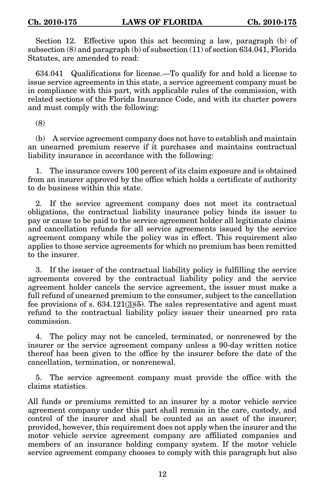Section 12. Effective upon this act becoming a law, paragraph (b) of subsection (8) and paragraph (b) of subsection (11) of section 634.041, Florida Statutes, are amended to read:

634.041 Qualifications for license.—To qualify for and hold a license to issue service agreements in this state, a service agreement company must be in compliance with this part, with applicable rules of the commission, with related sections of the Florida Insurance Code, and with its charter powers and must comply with the following:

(8)

(b) A service agreement company does not have to establish and maintain an unearned premium reserve if it purchases and maintains contractual liability insurance in accordance with the following:

1. The insurance covers 100 percent of its claim exposure and is obtained from an insurer approved by the office which holds a certificate of authority to do business within this state.

2. If the service agreement company does not meet its contractual obligations, the contractual liability insurance policy binds its issuer to pay or cause to be paid to the service agreement holder all legitimate claims and cancellation refunds for all service agreements issued by the service agreement company while the policy was in effect. This requirement also applies to those service agreements for which no premium has been remitted to the insurer.

3. If the issuer of the contractual liability policy is fulfilling the service agreements covered by the contractual liability policy and the service agreement holder cancels the service agreement, the issuer must make a full refund of unearned premium to the consumer, subject to the cancellation fee provisions of s.  $634.121\frac{3}{6}$ . The sales representative and agent must refund to the contractual liability policy issuer their unearned pro rata commission.

4. The policy may not be canceled, terminated, or nonrenewed by the insurer or the service agreement company unless a 90-day written notice thereof has been given to the office by the insurer before the date of the cancellation, termination, or nonrenewal.

5. The service agreement company must provide the office with the claims statistics.

All funds or premiums remitted to an insurer by a motor vehicle service agreement company under this part shall remain in the care, custody, and control of the insurer and shall be counted as an asset of the insurer; provided, however, this requirement does not apply when the insurer and the motor vehicle service agreement company are affiliated companies and members of an insurance holding company system. If the motor vehicle service agreement company chooses to comply with this paragraph but also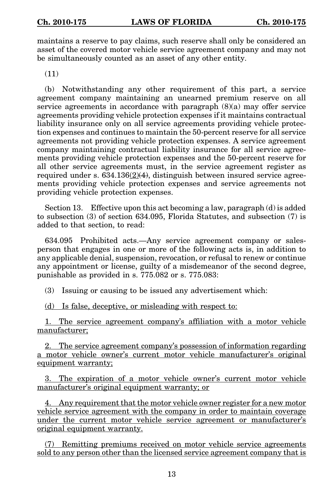maintains a reserve to pay claims, such reserve shall only be considered an asset of the covered motor vehicle service agreement company and may not be simultaneously counted as an asset of any other entity.

(11)

(b) Notwithstanding any other requirement of this part, a service agreement company maintaining an unearned premium reserve on all service agreements in accordance with paragraph (8)(a) may offer service agreements providing vehicle protection expenses if it maintains contractual liability insurance only on all service agreements providing vehicle protection expenses and continues to maintain the 50-percent reserve for all service agreements not providing vehicle protection expenses. A service agreement company maintaining contractual liability insurance for all service agreements providing vehicle protection expenses and the 50-percent reserve for all other service agreements must, in the service agreement register as required under s.  $634.136(2)(4)$ , distinguish between insured service agreements providing vehicle protection expenses and service agreements not providing vehicle protection expenses.

Section 13. Effective upon this act becoming a law, paragraph (d) is added to subsection (3) of section 634.095, Florida Statutes, and subsection (7) is added to that section, to read:

634.095 Prohibited acts.—Any service agreement company or salesperson that engages in one or more of the following acts is, in addition to any applicable denial, suspension, revocation, or refusal to renew or continue any appointment or license, guilty of a misdemeanor of the second degree, punishable as provided in s. 775.082 or s. 775.083:

(3) Issuing or causing to be issued any advertisement which:

(d) Is false, deceptive, or misleading with respect to:

1. The service agreement company's affiliation with a motor vehicle manufacturer;

2. The service agreement company's possession of information regarding a motor vehicle owner's current motor vehicle manufacturer's original equipment warranty;

3. The expiration of a motor vehicle owner's current motor vehicle manufacturer's original equipment warranty; or

4. Any requirement that the motor vehicle owner register for a new motor vehicle service agreement with the company in order to maintain coverage under the current motor vehicle service agreement or manufacturer's original equipment warranty.

(7) Remitting premiums received on motor vehicle service agreements sold to any person other than the licensed service agreement company that is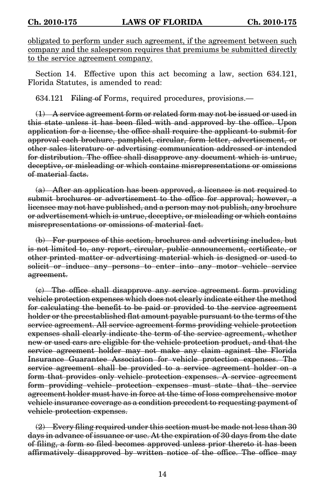obligated to perform under such agreement, if the agreement between such company and the salesperson requires that premiums be submitted directly to the service agreement company.

Section 14. Effective upon this act becoming a law, section 634.121, Florida Statutes, is amended to read:

634.121 Filing of Forms, required procedures, provisions.—

(1) A service agreement form or related form may not be issued or used in this state unless it has been filed with and approved by the office. Upon application for a license, the office shall require the applicant to submit for approval each brochure, pamphlet, circular, form letter, advertisement, or other sales literature or advertising communication addressed or intended for distribution. The office shall disapprove any document which is untrue, deceptive, or misleading or which contains misrepresentations or omissions of material facts.

(a) After an application has been approved, a licensee is not required to submit brochures or advertisement to the office for approval; however, a licensee may not have published, and a person may not publish, any brochure or advertisement which is untrue, deceptive, or misleading or which contains misrepresentations or omissions of material fact.

(b) For purposes of this section, brochures and advertising includes, but is not limited to, any report, circular, public announcement, certificate, or other printed matter or advertising material which is designed or used to solicit or induce any persons to enter into any motor vehicle service agreement.

(c) The office shall disapprove any service agreement form providing vehicle protection expenses which does not clearly indicate either the method for calculating the benefit to be paid or provided to the service agreement holder or the preestablished flat amount payable pursuant to the terms of the service agreement. All service agreement forms providing vehicle protection expenses shall clearly indicate the term of the service agreement, whether new or used cars are eligible for the vehicle protection product, and that the service agreement holder may not make any claim against the Florida Insurance Guarantee Association for vehicle protection expenses. The service agreement shall be provided to a service agreement holder on a form that provides only vehicle protection expenses. A service agreement form providing vehicle protection expenses must state that the service agreement holder must have in force at the time of loss comprehensive motor vehicle insurance coverage as a condition precedent to requesting payment of vehicle protection expenses.

 $(2)$  Every filing required under this section must be made not less than 30 days in advance of issuance or use. At the expiration of 30 days from the date of filing, a form so filed becomes approved unless prior thereto it has been affirmatively disapproved by written notice of the office. The office may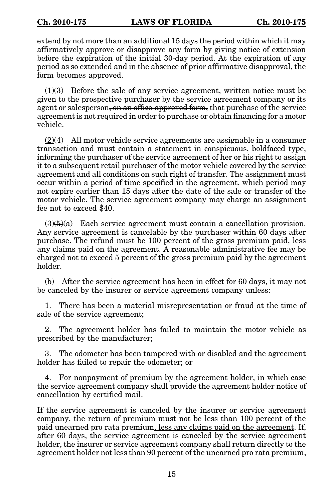extend by not more than an additional 15 days the period within which it may affirmatively approve or disapprove any form by giving notice of extension before the expiration of the initial 30-day period. At the expiration of any period as so extended and in the absence of prior affirmative disapproval, the form becomes approved.

 $(1)$ (3) Before the sale of any service agreement, written notice must be given to the prospective purchaser by the service agreement company or its agent or salesperson, on an office-approved form, that purchase of the service agreement is not required in order to purchase or obtain financing for a motor vehicle.

 $(2)(4)$  All motor vehicle service agreements are assignable in a consumer transaction and must contain a statement in conspicuous, boldfaced type, informing the purchaser of the service agreement of her or his right to assign it to a subsequent retail purchaser of the motor vehicle covered by the service agreement and all conditions on such right of transfer. The assignment must occur within a period of time specified in the agreement, which period may not expire earlier than 15 days after the date of the sale or transfer of the motor vehicle. The service agreement company may charge an assignment fee not to exceed \$40.

 $(3)(5)(a)$  Each service agreement must contain a cancellation provision. Any service agreement is cancelable by the purchaser within 60 days after purchase. The refund must be 100 percent of the gross premium paid, less any claims paid on the agreement. A reasonable administrative fee may be charged not to exceed 5 percent of the gross premium paid by the agreement holder.

(b) After the service agreement has been in effect for 60 days, it may not be canceled by the insurer or service agreement company unless:

1. There has been a material misrepresentation or fraud at the time of sale of the service agreement;

2. The agreement holder has failed to maintain the motor vehicle as prescribed by the manufacturer;

3. The odometer has been tampered with or disabled and the agreement holder has failed to repair the odometer; or

4. For nonpayment of premium by the agreement holder, in which case the service agreement company shall provide the agreement holder notice of cancellation by certified mail.

If the service agreement is canceled by the insurer or service agreement company, the return of premium must not be less than 100 percent of the paid unearned pro rata premium, less any claims paid on the agreement. If, after 60 days, the service agreement is canceled by the service agreement holder, the insurer or service agreement company shall return directly to the agreement holder not less than 90 percent of the unearned pro rata premium,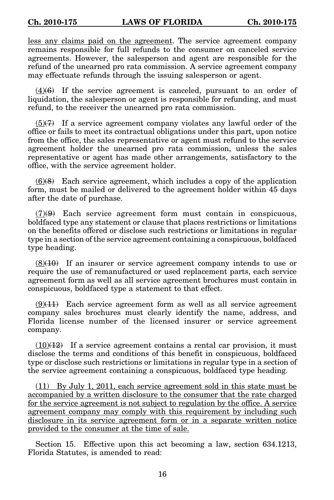less any claims paid on the agreement. The service agreement company remains responsible for full refunds to the consumer on canceled service agreements. However, the salesperson and agent are responsible for the refund of the unearned pro rata commission. A service agreement company may effectuate refunds through the issuing salesperson or agent.

 $(4)(6)$  If the service agreement is canceled, pursuant to an order of liquidation, the salesperson or agent is responsible for refunding, and must refund, to the receiver the unearned pro rata commission.

 $(5)$ (7) If a service agreement company violates any lawful order of the office or fails to meet its contractual obligations under this part, upon notice from the office, the sales representative or agent must refund to the service agreement holder the unearned pro rata commission, unless the sales representative or agent has made other arrangements, satisfactory to the office, with the service agreement holder.

 $(6)$ (8) Each service agreement, which includes a copy of the application form, must be mailed or delivered to the agreement holder within 45 days after the date of purchase.

 $(7)(9)$  Each service agreement form must contain in conspicuous, boldfaced type any statement or clause that places restrictions or limitations on the benefits offered or disclose such restrictions or limitations in regular type in a section of the service agreement containing a conspicuous, boldfaced type heading.

 $(8)(10)$  If an insurer or service agreement company intends to use or require the use of remanufactured or used replacement parts, each service agreement form as well as all service agreement brochures must contain in conspicuous, boldfaced type a statement to that effect.

 $(9)(11)$  Each service agreement form as well as all service agreement company sales brochures must clearly identify the name, address, and Florida license number of the licensed insurer or service agreement company.

 $(10)(12)$  If a service agreement contains a rental car provision, it must disclose the terms and conditions of this benefit in conspicuous, boldfaced type or disclose such restrictions or limitations in regular type in a section of the service agreement containing a conspicuous, boldfaced type heading.

(11) By July 1, 2011, each service agreement sold in this state must be accompanied by a written disclosure to the consumer that the rate charged for the service agreement is not subject to regulation by the office. A service agreement company may comply with this requirement by including such disclosure in its service agreement form or in a separate written notice provided to the consumer at the time of sale.

Section 15. Effective upon this act becoming a law, section 634.1213, Florida Statutes, is amended to read: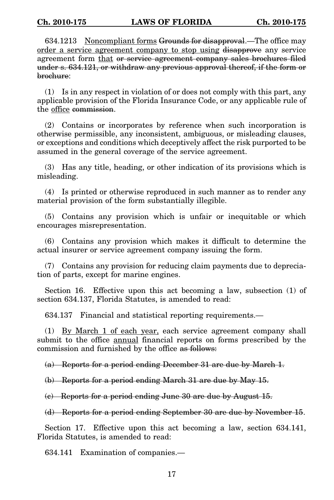634.1213 Noncompliant forms Grounds for disapproval.—The office may order a service agreement company to stop using disapprove any service agreement form that or service agreement company sales brochures filed under s. 634.121, or withdraw any previous approval thereof, if the form or brochure:

(1) Is in any respect in violation of or does not comply with this part, any applicable provision of the Florida Insurance Code, or any applicable rule of the office commission.

(2) Contains or incorporates by reference when such incorporation is otherwise permissible, any inconsistent, ambiguous, or misleading clauses, or exceptions and conditions which deceptively affect the risk purported to be assumed in the general coverage of the service agreement.

(3) Has any title, heading, or other indication of its provisions which is misleading.

(4) Is printed or otherwise reproduced in such manner as to render any material provision of the form substantially illegible.

(5) Contains any provision which is unfair or inequitable or which encourages misrepresentation.

(6) Contains any provision which makes it difficult to determine the actual insurer or service agreement company issuing the form.

(7) Contains any provision for reducing claim payments due to depreciation of parts, except for marine engines.

Section 16. Effective upon this act becoming a law, subsection (1) of section 634.137, Florida Statutes, is amended to read:

634.137 Financial and statistical reporting requirements.—

(1) By March 1 of each year, each service agreement company shall submit to the office **annual** financial reports on forms prescribed by the commission and furnished by the office as follows:

(a) Reports for a period ending December 31 are due by March 1.

(b) Reports for a period ending March 31 are due by May 15.

(c) Reports for a period ending June 30 are due by August 15.

(d) Reports for a period ending September 30 are due by November 15.

Section 17. Effective upon this act becoming a law, section 634.141, Florida Statutes, is amended to read:

634.141 Examination of companies.—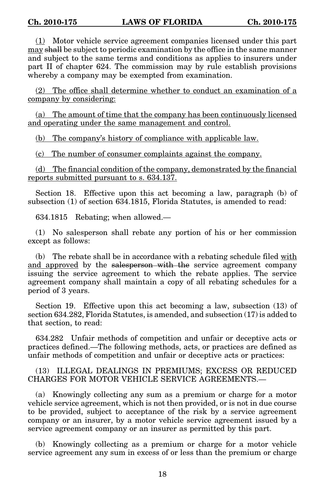(1) Motor vehicle service agreement companies licensed under this part may shall be subject to periodic examination by the office in the same manner and subject to the same terms and conditions as applies to insurers under part II of chapter 624. The commission may by rule establish provisions whereby a company may be exempted from examination.

(2) The office shall determine whether to conduct an examination of a company by considering:

(a) The amount of time that the company has been continuously licensed and operating under the same management and control.

(b) The company's history of compliance with applicable law.

(c) The number of consumer complaints against the company.

(d) The financial condition of the company, demonstrated by the financial reports submitted pursuant to s. 634.137.

Section 18. Effective upon this act becoming a law, paragraph (b) of subsection (1) of section 634.1815, Florida Statutes, is amended to read:

634.1815 Rebating; when allowed.—

(1) No salesperson shall rebate any portion of his or her commission except as follows:

(b) The rebate shall be in accordance with a rebating schedule filed with and approved by the salesperson with the service agreement company issuing the service agreement to which the rebate applies. The service agreement company shall maintain a copy of all rebating schedules for a period of 3 years.

Section 19. Effective upon this act becoming a law, subsection (13) of section 634.282, Florida Statutes, is amended, and subsection (17) is added to that section, to read:

634.282 Unfair methods of competition and unfair or deceptive acts or practices defined.—The following methods, acts, or practices are defined as unfair methods of competition and unfair or deceptive acts or practices:

(13) ILLEGAL DEALINGS IN PREMIUMS; EXCESS OR REDUCED CHARGES FOR MOTOR VEHICLE SERVICE AGREEMENTS.—

(a) Knowingly collecting any sum as a premium or charge for a motor vehicle service agreement, which is not then provided, or is not in due course to be provided, subject to acceptance of the risk by a service agreement company or an insurer, by a motor vehicle service agreement issued by a service agreement company or an insurer as permitted by this part.

(b) Knowingly collecting as a premium or charge for a motor vehicle service agreement any sum in excess of or less than the premium or charge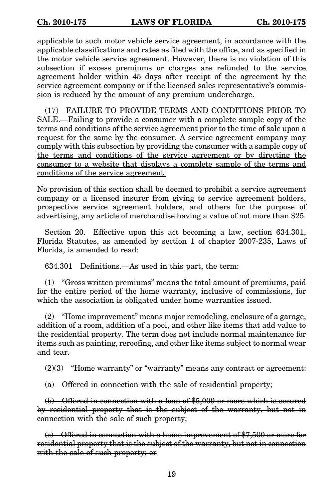applicable to such motor vehicle service agreement, in accordance with the applicable classifications and rates as filed with the office, and as specified in the motor vehicle service agreement. However, there is no violation of this subsection if excess premiums or charges are refunded to the service agreement holder within 45 days after receipt of the agreement by the service agreement company or if the licensed sales representative's commission is reduced by the amount of any premium undercharge.

(17) FAILURE TO PROVIDE TERMS AND CONDITIONS PRIOR TO SALE.—Failing to provide a consumer with a complete sample copy of the terms and conditions of the service agreement prior to the time of sale upon a request for the same by the consumer. A service agreement company may comply with this subsection by providing the consumer with a sample copy of the terms and conditions of the service agreement or by directing the consumer to a website that displays a complete sample of the terms and conditions of the service agreement.

No provision of this section shall be deemed to prohibit a service agreement company or a licensed insurer from giving to service agreement holders, prospective service agreement holders, and others for the purpose of advertising, any article of merchandise having a value of not more than \$25.

Section 20. Effective upon this act becoming a law, section 634.301, Florida Statutes, as amended by section 1 of chapter 2007-235, Laws of Florida, is amended to read:

634.301 Definitions.—As used in this part, the term:

(1) "Gross written premiums" means the total amount of premiums, paid for the entire period of the home warranty, inclusive of commissions, for which the association is obligated under home warranties issued.

 $(2)$  "Home improvement" means major remodeling, enclosure of a garage, addition of a room, addition of a pool, and other like items that add value to the residential property. The term does not include normal maintenance for items such as painting, reroofing, and other like items subject to normal wear and tear.

 $(2)$ (3) "Home warranty" or "warranty" means any contract or agreement:

(a) Offered in connection with the sale of residential property;

(b) Offered in connection with a loan of \$5,000 or more which is secured by residential property that is the subject of the warranty, but not in connection with the sale of such property;

(c) Offered in connection with a home improvement of \$7,500 or more for residential property that is the subject of the warranty, but not in connection with the sale of such property; or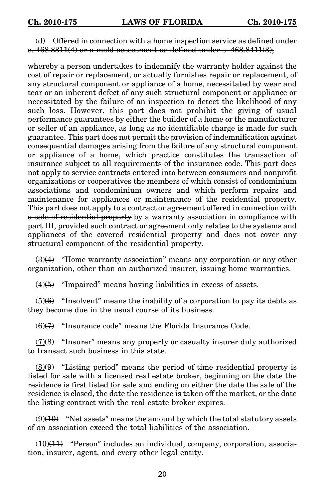## (d) Offered in connection with a home inspection service as defined under s.  $468.8311(4)$  or a mold assessment as defined under s.  $468.8411(3)$ ;

whereby a person undertakes to indemnify the warranty holder against the cost of repair or replacement, or actually furnishes repair or replacement, of any structural component or appliance of a home, necessitated by wear and tear or an inherent defect of any such structural component or appliance or necessitated by the failure of an inspection to detect the likelihood of any such loss. However, this part does not prohibit the giving of usual performance guarantees by either the builder of a home or the manufacturer or seller of an appliance, as long as no identifiable charge is made for such guarantee. This part does not permit the provision of indemnification against consequential damages arising from the failure of any structural component or appliance of a home, which practice constitutes the transaction of insurance subject to all requirements of the insurance code. This part does not apply to service contracts entered into between consumers and nonprofit organizations or cooperatives the members of which consist of condominium associations and condominium owners and which perform repairs and maintenance for appliances or maintenance of the residential property. This part does not apply to a contract or agreement offered in connection with a sale of residential property by a warranty association in compliance with part III, provided such contract or agreement only relates to the systems and appliances of the covered residential property and does not cover any structural component of the residential property.

 $(3)(4)$  "Home warranty association" means any corporation or any other organization, other than an authorized insurer, issuing home warranties.

 $(4)(5)$  "Impaired" means having liabilities in excess of assets.

 $(5)(6)$  "Insolvent" means the inability of a corporation to pay its debts as they become due in the usual course of its business.

 $(6)$ (7) "Insurance code" means the Florida Insurance Code.

 $(7)(8)$  "Insurer" means any property or casualty insurer duly authorized to transact such business in this state.

 $(8)$ (9) "Listing period" means the period of time residential property is listed for sale with a licensed real estate broker, beginning on the date the residence is first listed for sale and ending on either the date the sale of the residence is closed, the date the residence is taken off the market, or the date the listing contract with the real estate broker expires.

 $(9)(10)$  "Net assets" means the amount by which the total statutory assets of an association exceed the total liabilities of the association.

 $(10)(11)$  "Person" includes an individual, company, corporation, association, insurer, agent, and every other legal entity.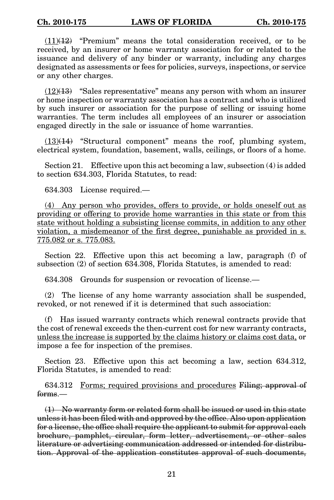$(11)(12)$  "Premium" means the total consideration received, or to be received, by an insurer or home warranty association for or related to the issuance and delivery of any binder or warranty, including any charges designated as assessments or fees for policies, surveys, inspections, or service or any other charges.

 $(12)(13)$  "Sales representative" means any person with whom an insurer or home inspection or warranty association has a contract and who is utilized by such insurer or association for the purpose of selling or issuing home warranties. The term includes all employees of an insurer or association engaged directly in the sale or issuance of home warranties.

 $(13)(14)$  "Structural component" means the roof, plumbing system, electrical system, foundation, basement, walls, ceilings, or floors of a home.

Section 21. Effective upon this act becoming a law, subsection (4) is added to section 634.303, Florida Statutes, to read:

634.303 License required.—

(4) Any person who provides, offers to provide, or holds oneself out as providing or offering to provide home warranties in this state or from this state without holding a subsisting license commits, in addition to any other violation, a misdemeanor of the first degree, punishable as provided in s. 775.082 or s. 775.083.

Section 22. Effective upon this act becoming a law, paragraph (f) of subsection (2) of section 634.308, Florida Statutes, is amended to read:

634.308 Grounds for suspension or revocation of license.—

(2) The license of any home warranty association shall be suspended, revoked, or not renewed if it is determined that such association:

(f) Has issued warranty contracts which renewal contracts provide that the cost of renewal exceeds the then-current cost for new warranty contracts, unless the increase is supported by the claims history or claims cost data, or impose a fee for inspection of the premises.

Section 23. Effective upon this act becoming a law, section 634.312, Florida Statutes, is amended to read:

634.312 Forms; required provisions and procedures Filing; approval of forms.—

(1) No warranty form or related form shall be issued or used in this state unless it has been filed with and approved by the office. Also upon application for a license, the office shall require the applicant to submit for approval each brochure, pamphlet, circular, form letter, advertisement, or other sales literature or advertising communication addressed or intended for distribution. Approval of the application constitutes approval of such documents,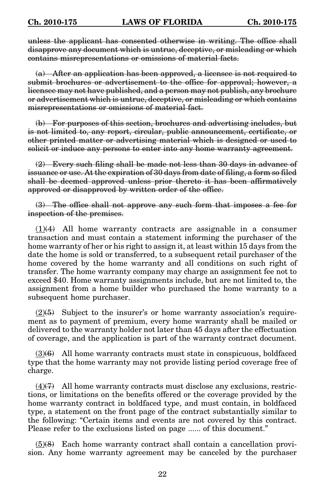unless the applicant has consented otherwise in writing. The office shall disapprove any document which is untrue, deceptive, or misleading or which contains misrepresentations or omissions of material facts.

(a) After an application has been approved, a licensee is not required to submit brochures or advertisement to the office for approval; however, a licensee may not have published, and a person may not publish, any brochure or advertisement which is untrue, deceptive, or misleading or which contains misrepresentations or omissions of material fact.

(b) For purposes of this section, brochures and advertising includes, but is not limited to, any report, circular, public announcement, certificate, or other printed matter or advertising material which is designed or used to solicit or induce any persons to enter into any home warranty agreement.

(2) Every such filing shall be made not less than 30 days in advance of issuance or use. At the expiration of 30 days from date of filing, a form so filed shall be deemed approved unless prior thereto it has been affirmatively approved or disapproved by written order of the office.

(3) The office shall not approve any such form that imposes a fee for inspection of the premises.

 $(1)(4)$  All home warranty contracts are assignable in a consumer transaction and must contain a statement informing the purchaser of the home warranty of her or his right to assign it, at least within 15 days from the date the home is sold or transferred, to a subsequent retail purchaser of the home covered by the home warranty and all conditions on such right of transfer. The home warranty company may charge an assignment fee not to exceed \$40. Home warranty assignments include, but are not limited to, the assignment from a home builder who purchased the home warranty to a subsequent home purchaser.

 $(2)$ (5) Subject to the insurer's or home warranty association's requirement as to payment of premium, every home warranty shall be mailed or delivered to the warranty holder not later than 45 days after the effectuation of coverage, and the application is part of the warranty contract document.

 $(3)(6)$  All home warranty contracts must state in conspicuous, boldfaced type that the home warranty may not provide listing period coverage free of charge.

 $(4)$ (4)(7) All home warranty contracts must disclose any exclusions, restrictions, or limitations on the benefits offered or the coverage provided by the home warranty contract in boldfaced type, and must contain, in boldfaced type, a statement on the front page of the contract substantially similar to the following: "Certain items and events are not covered by this contract. Please refer to the exclusions listed on page ...... of this document."

 $(5)(8)$  Each home warranty contract shall contain a cancellation provision. Any home warranty agreement may be canceled by the purchaser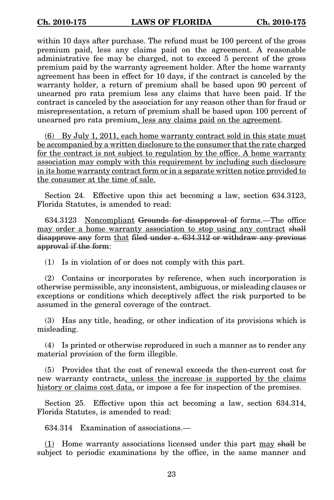within 10 days after purchase. The refund must be 100 percent of the gross premium paid, less any claims paid on the agreement. A reasonable administrative fee may be charged, not to exceed 5 percent of the gross premium paid by the warranty agreement holder. After the home warranty agreement has been in effect for 10 days, if the contract is canceled by the warranty holder, a return of premium shall be based upon 90 percent of unearned pro rata premium less any claims that have been paid. If the contract is canceled by the association for any reason other than for fraud or misrepresentation, a return of premium shall be based upon 100 percent of unearned pro rata premium, less any claims paid on the agreement.

(6) By July 1, 2011, each home warranty contract sold in this state must be accompanied by a written disclosure to the consumer that the rate charged for the contract is not subject to regulation by the office. A home warranty association may comply with this requirement by including such disclosure in its home warranty contract form or in a separate written notice provided to the consumer at the time of sale.

Section 24. Effective upon this act becoming a law, section 634.3123, Florida Statutes, is amended to read:

634.3123 Noncompliant Grounds for disapproval of forms.—The office may order a home warranty association to stop using any contract shall disapprove any form that filed under s. 634.312 or withdraw any previous approval if the form:

(1) Is in violation of or does not comply with this part.

(2) Contains or incorporates by reference, when such incorporation is otherwise permissible, any inconsistent, ambiguous, or misleading clauses or exceptions or conditions which deceptively affect the risk purported to be assumed in the general coverage of the contract.

(3) Has any title, heading, or other indication of its provisions which is misleading.

(4) Is printed or otherwise reproduced in such a manner as to render any material provision of the form illegible.

(5) Provides that the cost of renewal exceeds the then-current cost for new warranty contracts, unless the increase is supported by the claims history or claims cost data, or impose a fee for inspection of the premises.

Section 25. Effective upon this act becoming a law, section 634.314, Florida Statutes, is amended to read:

634.314 Examination of associations.—

 $(1)$  Home warranty associations licensed under this part may shall be subject to periodic examinations by the office, in the same manner and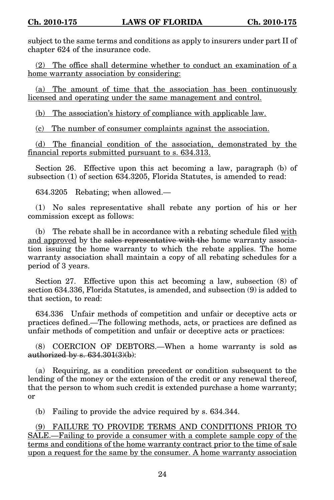subject to the same terms and conditions as apply to insurers under part II of chapter 624 of the insurance code.

(2) The office shall determine whether to conduct an examination of a home warranty association by considering:

(a) The amount of time that the association has been continuously licensed and operating under the same management and control.

(b) The association's history of compliance with applicable law.

(c) The number of consumer complaints against the association.

(d) The financial condition of the association, demonstrated by the financial reports submitted pursuant to s. 634.313.

Section 26. Effective upon this act becoming a law, paragraph (b) of subsection (1) of section 634.3205, Florida Statutes, is amended to read:

634.3205 Rebating; when allowed.—

(1) No sales representative shall rebate any portion of his or her commission except as follows:

(b) The rebate shall be in accordance with a rebating schedule filed with and approved by the sales representative with the home warranty association issuing the home warranty to which the rebate applies. The home warranty association shall maintain a copy of all rebating schedules for a period of 3 years.

Section 27. Effective upon this act becoming a law, subsection (8) of section 634.336, Florida Statutes, is amended, and subsection (9) is added to that section, to read:

634.336 Unfair methods of competition and unfair or deceptive acts or practices defined.—The following methods, acts, or practices are defined as unfair methods of competition and unfair or deceptive acts or practices:

(8) COERCION OF DEBTORS.—When a home warranty is sold as authorized by s.  $634.301(3)(b)$ :

(a) Requiring, as a condition precedent or condition subsequent to the lending of the money or the extension of the credit or any renewal thereof, that the person to whom such credit is extended purchase a home warranty; or

(b) Failing to provide the advice required by s. 634.344.

(9) FAILURE TO PROVIDE TERMS AND CONDITIONS PRIOR TO SALE.—Failing to provide a consumer with a complete sample copy of the terms and conditions of the home warranty contract prior to the time of sale upon a request for the same by the consumer. A home warranty association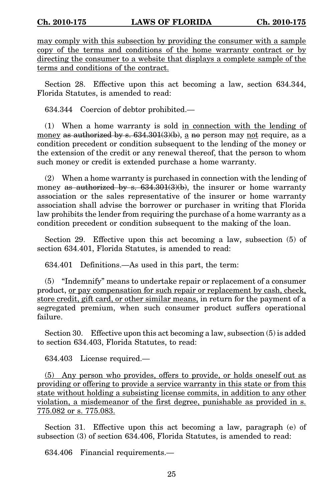may comply with this subsection by providing the consumer with a sample copy of the terms and conditions of the home warranty contract or by directing the consumer to a website that displays a complete sample of the terms and conditions of the contract.

Section 28. Effective upon this act becoming a law, section 634.344, Florida Statutes, is amended to read:

634.344 Coercion of debtor prohibited.—

(1) When a home warranty is sold in connection with the lending of money as authorized by s.  $634.301(3)(b)$ , a no person may not require, as a condition precedent or condition subsequent to the lending of the money or the extension of the credit or any renewal thereof, that the person to whom such money or credit is extended purchase a home warranty.

(2) When a home warranty is purchased in connection with the lending of money as authorized by s.  $634.301(3)(b)$ , the insurer or home warranty association or the sales representative of the insurer or home warranty association shall advise the borrower or purchaser in writing that Florida law prohibits the lender from requiring the purchase of a home warranty as a condition precedent or condition subsequent to the making of the loan.

Section 29. Effective upon this act becoming a law, subsection (5) of section 634.401, Florida Statutes, is amended to read:

634.401 Definitions.—As used in this part, the term:

(5) "Indemnify" means to undertake repair or replacement of a consumer product, or pay compensation for such repair or replacement by cash, check, store credit, gift card, or other similar means, in return for the payment of a segregated premium, when such consumer product suffers operational failure.

Section 30. Effective upon this act becoming a law, subsection (5) is added to section 634.403, Florida Statutes, to read:

634.403 License required.—

(5) Any person who provides, offers to provide, or holds oneself out as providing or offering to provide a service warranty in this state or from this state without holding a subsisting license commits, in addition to any other violation, a misdemeanor of the first degree, punishable as provided in s. 775.082 or s. 775.083.

Section 31. Effective upon this act becoming a law, paragraph (e) of subsection (3) of section 634.406, Florida Statutes, is amended to read:

634.406 Financial requirements.—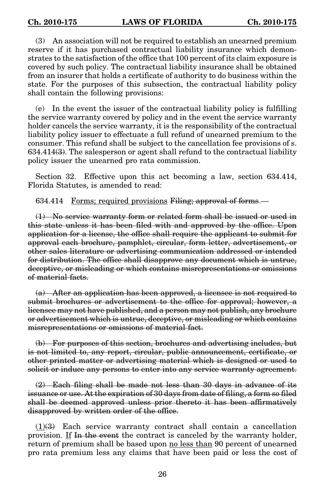(3) An association will not be required to establish an unearned premium reserve if it has purchased contractual liability insurance which demonstrates to the satisfaction of the office that 100 percent of its claim exposure is covered by such policy. The contractual liability insurance shall be obtained from an insurer that holds a certificate of authority to do business within the state. For the purposes of this subsection, the contractual liability policy shall contain the following provisions:

(e) In the event the issuer of the contractual liability policy is fulfilling the service warranty covered by policy and in the event the service warranty holder cancels the service warranty, it is the responsibility of the contractual liability policy issuer to effectuate a full refund of unearned premium to the consumer. This refund shall be subject to the cancellation fee provisions of s.  $634.414(3)$ . The salesperson or agent shall refund to the contractual liability policy issuer the unearned pro rata commission.

Section 32. Effective upon this act becoming a law, section 634.414, Florida Statutes, is amended to read:

634.414 Forms; required provisions Filing; approval of forms.—

(1) No service warranty form or related form shall be issued or used in this state unless it has been filed with and approved by the office. Upon application for a license, the office shall require the applicant to submit for approval each brochure, pamphlet, circular, form letter, advertisement, or other sales literature or advertising communication addressed or intended for distribution. The office shall disapprove any document which is untrue, deceptive, or misleading or which contains misrepresentations or omissions of material facts.

(a) After an application has been approved, a licensee is not required to submit brochures or advertisement to the office for approval; however, a licensee may not have published, and a person may not publish, any brochure or advertisement which is untrue, deceptive, or misleading or which contains misrepresentations or omissions of material fact.

(b) For purposes of this section, brochures and advertising includes, but is not limited to, any report, circular, public announcement, certificate, or other printed matter or advertising material which is designed or used to solicit or induce any persons to enter into any service warranty agreement.

(2) Each filing shall be made not less than 30 days in advance of its issuance or use. At the expiration of 30 days from date of filing, a form so filed shall be deemed approved unless prior thereto it has been affirmatively disapproved by written order of the office.

 $(1)$ (3) Each service warranty contract shall contain a cancellation provision. If In the event the contract is canceled by the warranty holder, return of premium shall be based upon no less than 90 percent of unearned pro rata premium less any claims that have been paid or less the cost of

26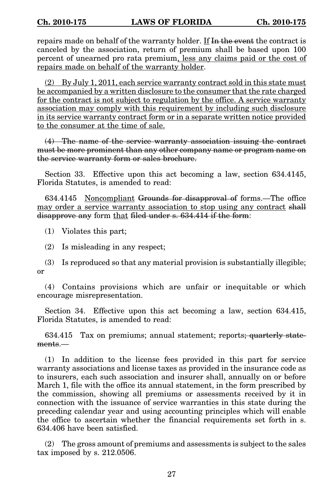repairs made on behalf of the warranty holder. If In the event the contract is canceled by the association, return of premium shall be based upon 100 percent of unearned pro rata premium, less any claims paid or the cost of repairs made on behalf of the warranty holder.

(2) By July 1, 2011, each service warranty contract sold in this state must be accompanied by a written disclosure to the consumer that the rate charged for the contract is not subject to regulation by the office. A service warranty association may comply with this requirement by including such disclosure in its service warranty contract form or in a separate written notice provided to the consumer at the time of sale.

(4) The name of the service warranty association issuing the contract must be more prominent than any other company name or program name on the service warranty form or sales brochure.

Section 33. Effective upon this act becoming a law, section 634.4145, Florida Statutes, is amended to read:

634.4145 Noncompliant Grounds for disapproval of forms.—The office may order a service warranty association to stop using any contract shall disapprove any form that filed under s. 634.414 if the form:

(1) Violates this part;

(2) Is misleading in any respect;

(3) Is reproduced so that any material provision is substantially illegible; or

(4) Contains provisions which are unfair or inequitable or which encourage misrepresentation.

Section 34. Effective upon this act becoming a law, section 634.415, Florida Statutes, is amended to read:

634.415 Tax on premiums; annual statement; reports; quarterly statements.—

(1) In addition to the license fees provided in this part for service warranty associations and license taxes as provided in the insurance code as to insurers, each such association and insurer shall, annually on or before March 1, file with the office its annual statement, in the form prescribed by the commission, showing all premiums or assessments received by it in connection with the issuance of service warranties in this state during the preceding calendar year and using accounting principles which will enable the office to ascertain whether the financial requirements set forth in s. 634.406 have been satisfied.

(2) The gross amount of premiums and assessments is subject to the sales tax imposed by s. 212.0506.

27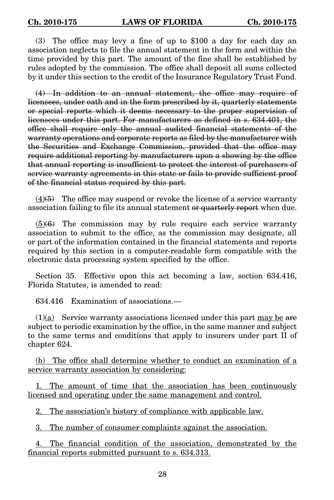(3) The office may levy a fine of up to \$100 a day for each day an association neglects to file the annual statement in the form and within the time provided by this part. The amount of the fine shall be established by rules adopted by the commission. The office shall deposit all sums collected by it under this section to the credit of the Insurance Regulatory Trust Fund.

(4) In addition to an annual statement, the office may require of licensees, under oath and in the form prescribed by it, quarterly statements or special reports which it deems necessary to the proper supervision of licensees under this part. For manufacturers as defined in s. 634.401, the office shall require only the annual audited financial statements of the warranty operations and corporate reports as filed by the manufacturer with the Securities and Exchange Commission, provided that the office may require additional reporting by manufacturers upon a showing by the office that annual reporting is insufficient to protect the interest of purchasers of service warranty agreements in this state or fails to provide sufficient proof of the financial status required by this part.

 $(4)$ (4)(5) The office may suspend or revoke the license of a service warranty association failing to file its annual statement or quarterly report when due.

 $(5)(6)$  The commission may by rule require each service warranty association to submit to the office, as the commission may designate, all or part of the information contained in the financial statements and reports required by this section in a computer-readable form compatible with the electronic data processing system specified by the office.

Section 35. Effective upon this act becoming a law, section 634.416, Florida Statutes, is amended to read:

634.416 Examination of associations.—

 $(1)(a)$  Service warranty associations licensed under this part may be are subject to periodic examination by the office, in the same manner and subject to the same terms and conditions that apply to insurers under part II of chapter 624.

(b) The office shall determine whether to conduct an examination of a service warranty association by considering:

The amount of time that the association has been continuously licensed and operating under the same management and control.

2. The association's history of compliance with applicable law.

3. The number of consumer complaints against the association.

4. The financial condition of the association, demonstrated by the financial reports submitted pursuant to s. 634.313.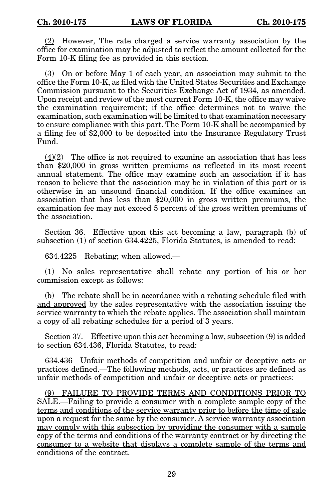(2) However, The rate charged a service warranty association by the office for examination may be adjusted to reflect the amount collected for the Form 10-K filing fee as provided in this section.

(3) On or before May 1 of each year, an association may submit to the office the Form 10-K, as filed with the United States Securities and Exchange Commission pursuant to the Securities Exchange Act of 1934, as amended. Upon receipt and review of the most current Form 10-K, the office may waive the examination requirement; if the office determines not to waive the examination, such examination will be limited to that examination necessary to ensure compliance with this part. The Form 10-K shall be accompanied by a filing fee of \$2,000 to be deposited into the Insurance Regulatory Trust Fund.

 $(4)(2)$  The office is not required to examine an association that has less than \$20,000 in gross written premiums as reflected in its most recent annual statement. The office may examine such an association if it has reason to believe that the association may be in violation of this part or is otherwise in an unsound financial condition. If the office examines an association that has less than \$20,000 in gross written premiums, the examination fee may not exceed 5 percent of the gross written premiums of the association.

Section 36. Effective upon this act becoming a law, paragraph (b) of subsection (1) of section 634.4225, Florida Statutes, is amended to read:

634.4225 Rebating; when allowed.—

(1) No sales representative shall rebate any portion of his or her commission except as follows:

(b) The rebate shall be in accordance with a rebating schedule filed with and approved by the sales representative with the association issuing the service warranty to which the rebate applies. The association shall maintain a copy of all rebating schedules for a period of 3 years.

Section 37. Effective upon this act becoming a law, subsection (9) is added to section 634.436, Florida Statutes, to read:

634.436 Unfair methods of competition and unfair or deceptive acts or practices defined.—The following methods, acts, or practices are defined as unfair methods of competition and unfair or deceptive acts or practices:

(9) FAILURE TO PROVIDE TERMS AND CONDITIONS PRIOR TO SALE.—Failing to provide a consumer with a complete sample copy of the terms and conditions of the service warranty prior to before the time of sale upon a request for the same by the consumer. A service warranty association may comply with this subsection by providing the consumer with a sample copy of the terms and conditions of the warranty contract or by directing the consumer to a website that displays a complete sample of the terms and conditions of the contract.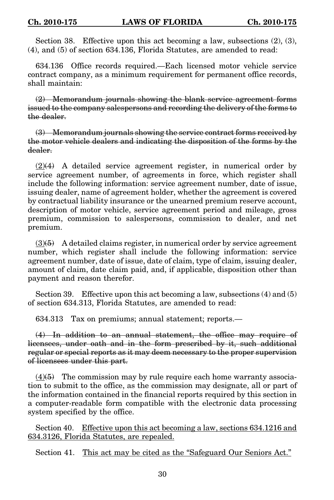Section 38. Effective upon this act becoming a law, subsections (2), (3), (4), and (5) of section 634.136, Florida Statutes, are amended to read:

634.136 Office records required.—Each licensed motor vehicle service contract company, as a minimum requirement for permanent office records, shall maintain:

(2) Memorandum journals showing the blank service agreement forms issued to the company salespersons and recording the delivery of the forms to the dealer.

(3) Memorandum journals showing the service contract forms received by the motor vehicle dealers and indicating the disposition of the forms by the dealer.

(2)(4) A detailed service agreement register, in numerical order by service agreement number, of agreements in force, which register shall include the following information: service agreement number, date of issue, issuing dealer, name of agreement holder, whether the agreement is covered by contractual liability insurance or the unearned premium reserve account, description of motor vehicle, service agreement period and mileage, gross premium, commission to salespersons, commission to dealer, and net premium.

 $(3)$ (5) A detailed claims register, in numerical order by service agreement number, which register shall include the following information: service agreement number, date of issue, date of claim, type of claim, issuing dealer, amount of claim, date claim paid, and, if applicable, disposition other than payment and reason therefor.

Section 39. Effective upon this act becoming a law, subsections (4) and (5) of section 634.313, Florida Statutes, are amended to read:

634.313 Tax on premiums; annual statement; reports.—

(4) In addition to an annual statement, the office may require of licensees, under oath and in the form prescribed by it, such additional regular or special reports as it may deem necessary to the proper supervision of licensees under this part.

 $(4)(5)$  The commission may by rule require each home warranty association to submit to the office, as the commission may designate, all or part of the information contained in the financial reports required by this section in a computer-readable form compatible with the electronic data processing system specified by the office.

Section 40. Effective upon this act becoming a law, sections 634.1216 and 634.3126, Florida Statutes, are repealed.

Section 41. This act may be cited as the "Safeguard Our Seniors Act."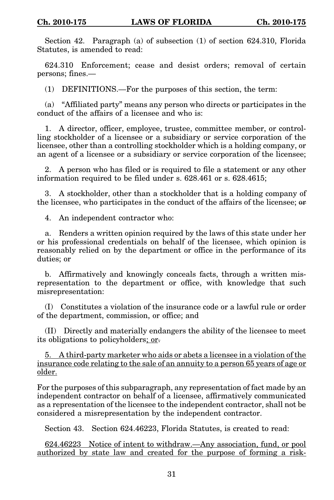Section 42. Paragraph (a) of subsection (1) of section 624.310, Florida Statutes, is amended to read:

624.310 Enforcement; cease and desist orders; removal of certain persons; fines.—

(1) DEFINITIONS.—For the purposes of this section, the term:

(a) "Affiliated party" means any person who directs or participates in the conduct of the affairs of a licensee and who is:

1. A director, officer, employee, trustee, committee member, or controlling stockholder of a licensee or a subsidiary or service corporation of the licensee, other than a controlling stockholder which is a holding company, or an agent of a licensee or a subsidiary or service corporation of the licensee;

2. A person who has filed or is required to file a statement or any other information required to be filed under s. 628.461 or s. 628.4615;

3. A stockholder, other than a stockholder that is a holding company of the licensee, who participates in the conduct of the affairs of the licensee; or

4. An independent contractor who:

a. Renders a written opinion required by the laws of this state under her or his professional credentials on behalf of the licensee, which opinion is reasonably relied on by the department or office in the performance of its duties; or

b. Affirmatively and knowingly conceals facts, through a written misrepresentation to the department or office, with knowledge that such misrepresentation:

(I) Constitutes a violation of the insurance code or a lawful rule or order of the department, commission, or office; and

(II) Directly and materially endangers the ability of the licensee to meet its obligations to policyholders; or.

5. A third-party marketer who aids or abets a licensee in a violation of the insurance code relating to the sale of an annuity to a person 65 years of age or older.

For the purposes of this subparagraph, any representation of fact made by an independent contractor on behalf of a licensee, affirmatively communicated as a representation of the licensee to the independent contractor, shall not be considered a misrepresentation by the independent contractor.

Section 43. Section 624.46223, Florida Statutes, is created to read:

624.46223 Notice of intent to withdraw.—Any association, fund, or pool authorized by state law and created for the purpose of forming a risk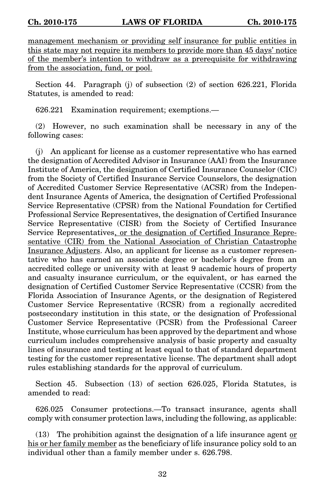management mechanism or providing self insurance for public entities in this state may not require its members to provide more than 45 days' notice of the member's intention to withdraw as a prerequisite for withdrawing from the association, fund, or pool.

Section 44. Paragraph (j) of subsection (2) of section 626.221, Florida Statutes, is amended to read:

626.221 Examination requirement; exemptions.—

(2) However, no such examination shall be necessary in any of the following cases:

(j) An applicant for license as a customer representative who has earned the designation of Accredited Advisor in Insurance (AAI) from the Insurance Institute of America, the designation of Certified Insurance Counselor (CIC) from the Society of Certified Insurance Service Counselors, the designation of Accredited Customer Service Representative (ACSR) from the Independent Insurance Agents of America, the designation of Certified Professional Service Representative (CPSR) from the National Foundation for Certified Professional Service Representatives, the designation of Certified Insurance Service Representative (CISR) from the Society of Certified Insurance Service Representatives, or the designation of Certified Insurance Representative (CIR) from the National Association of Christian Catastrophe Insurance Adjusters. Also, an applicant for license as a customer representative who has earned an associate degree or bachelor's degree from an accredited college or university with at least 9 academic hours of property and casualty insurance curriculum, or the equivalent, or has earned the designation of Certified Customer Service Representative (CCSR) from the Florida Association of Insurance Agents, or the designation of Registered Customer Service Representative (RCSR) from a regionally accredited postsecondary institution in this state, or the designation of Professional Customer Service Representative (PCSR) from the Professional Career Institute, whose curriculum has been approved by the department and whose curriculum includes comprehensive analysis of basic property and casualty lines of insurance and testing at least equal to that of standard department testing for the customer representative license. The department shall adopt rules establishing standards for the approval of curriculum.

Section 45. Subsection (13) of section 626.025, Florida Statutes, is amended to read:

626.025 Consumer protections.—To transact insurance, agents shall comply with consumer protection laws, including the following, as applicable:

(13) The prohibition against the designation of a life insurance agent  $or$ </u> his or her family member as the beneficiary of life insurance policy sold to an individual other than a family member under s. 626.798.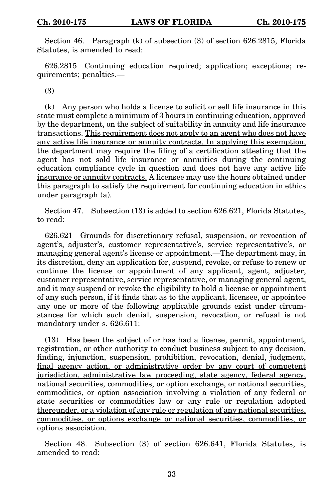Section 46. Paragraph (k) of subsection (3) of section 626.2815, Florida Statutes, is amended to read:

626.2815 Continuing education required; application; exceptions; requirements; penalties.—

(3)

(k) Any person who holds a license to solicit or sell life insurance in this state must complete a minimum of 3 hours in continuing education, approved by the department, on the subject of suitability in annuity and life insurance transactions. This requirement does not apply to an agent who does not have any active life insurance or annuity contracts. In applying this exemption, the department may require the filing of a certification attesting that the agent has not sold life insurance or annuities during the continuing education compliance cycle in question and does not have any active life insurance or annuity contracts. A licensee may use the hours obtained under this paragraph to satisfy the requirement for continuing education in ethics under paragraph (a).

Section 47. Subsection (13) is added to section 626.621, Florida Statutes, to read:

626.621 Grounds for discretionary refusal, suspension, or revocation of agent's, adjuster's, customer representative's, service representative's, or managing general agent's license or appointment.—The department may, in its discretion, deny an application for, suspend, revoke, or refuse to renew or continue the license or appointment of any applicant, agent, adjuster, customer representative, service representative, or managing general agent, and it may suspend or revoke the eligibility to hold a license or appointment of any such person, if it finds that as to the applicant, licensee, or appointee any one or more of the following applicable grounds exist under circumstances for which such denial, suspension, revocation, or refusal is not mandatory under s. 626.611:

(13) Has been the subject of or has had a license, permit, appointment, registration, or other authority to conduct business subject to any decision, finding, injunction, suspension, prohibition, revocation, denial, judgment, final agency action, or administrative order by any court of competent jurisdiction, administrative law proceeding, state agency, federal agency, national securities, commodities, or option exchange, or national securities, commodities, or option association involving a violation of any federal or state securities or commodities law or any rule or regulation adopted thereunder, or a violation of any rule or regulation of any national securities, commodities, or options exchange or national securities, commodities, or options association.

Section 48. Subsection (3) of section 626.641, Florida Statutes, is amended to read: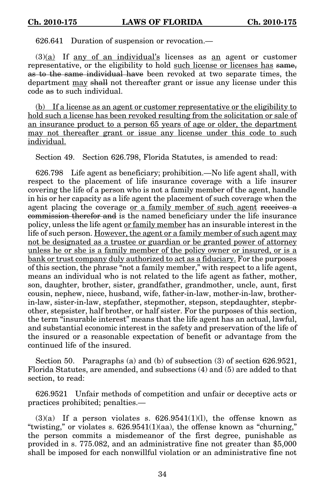626.641 Duration of suspension or revocation.—

 $(3)(a)$  If any of an individual's licenses as an agent or customer representative, or the eligibility to hold such license or licenses has same, as to the same individual have been revoked at two separate times, the department may shall not thereafter grant or issue any license under this code as to such individual.

(b) If a license as an agent or customer representative or the eligibility to hold such a license has been revoked resulting from the solicitation or sale of an insurance product to a person 65 years of age or older, the department may not thereafter grant or issue any license under this code to such individual.

Section 49. Section 626.798, Florida Statutes, is amended to read:

626.798 Life agent as beneficiary; prohibition.—No life agent shall, with respect to the placement of life insurance coverage with a life insurer covering the life of a person who is not a family member of the agent, handle in his or her capacity as a life agent the placement of such coverage when the agent placing the coverage or a family member of such agent receives a commission therefor and is the named beneficiary under the life insurance policy, unless the life agent or family member has an insurable interest in the life of such person. However, the agent or a family member of such agent may not be designated as a trustee or guardian or be granted power of attorney unless he or she is a family member of the policy owner or insured, or is a bank or trust company duly authorized to act as a fiduciary. For the purposes of this section, the phrase "not a family member," with respect to a life agent, means an individual who is not related to the life agent as father, mother, son, daughter, brother, sister, grandfather, grandmother, uncle, aunt, first cousin, nephew, niece, husband, wife, father-in-law, mother-in-law, brotherin-law, sister-in-law, stepfather, stepmother, stepson, stepdaughter, stepbrother, stepsister, half brother, or half sister. For the purposes of this section, the term "insurable interest" means that the life agent has an actual, lawful, and substantial economic interest in the safety and preservation of the life of the insured or a reasonable expectation of benefit or advantage from the continued life of the insured.

Section 50. Paragraphs (a) and (b) of subsection (3) of section 626.9521, Florida Statutes, are amended, and subsections (4) and (5) are added to that section, to read:

626.9521 Unfair methods of competition and unfair or deceptive acts or practices prohibited; penalties.—

 $(3)(a)$  If a person violates s.  $626.9541(1)(l)$ , the offense known as "twisting," or violates s.  $626.9541(1)(aa)$ , the offense known as "churning," the person commits a misdemeanor of the first degree, punishable as provided in s. 775.082, and an administrative fine not greater than \$5,000 shall be imposed for each nonwillful violation or an administrative fine not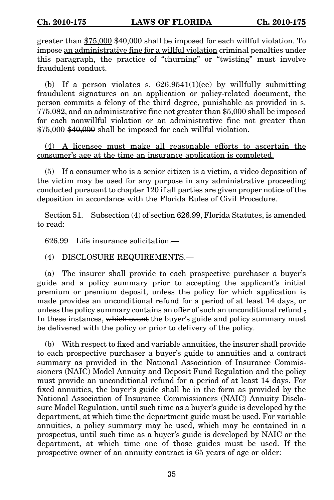greater than \$75,000 \$40,000 shall be imposed for each willful violation. To impose an administrative fine for a willful violation criminal penalties under this paragraph, the practice of "churning" or "twisting" must involve fraudulent conduct.

(b) If a person violates s.  $626.9541(1)(ee)$  by willfully submitting fraudulent signatures on an application or policy-related document, the person commits a felony of the third degree, punishable as provided in s. 775.082, and an administrative fine not greater than \$5,000 shall be imposed for each nonwillful violation or an administrative fine not greater than \$75,000 \$40,000 shall be imposed for each willful violation.

(4) A licensee must make all reasonable efforts to ascertain the consumer's age at the time an insurance application is completed.

(5) If a consumer who is a senior citizen is a victim, a video deposition of the victim may be used for any purpose in any administrative proceeding conducted pursuant to chapter 120 if all parties are given proper notice of the deposition in accordance with the Florida Rules of Civil Procedure.

Section 51. Subsection (4) of section 626.99, Florida Statutes, is amended to read:

626.99 Life insurance solicitation.—

(4) DISCLOSURE REQUIREMENTS.—

(a) The insurer shall provide to each prospective purchaser a buyer's guide and a policy summary prior to accepting the applicant's initial premium or premium deposit, unless the policy for which application is made provides an unconditional refund for a period of at least 14 days, or unless the policy summary contains an offer of such an unconditional refund. In these instances, which event the buyer's guide and policy summary must be delivered with the policy or prior to delivery of the policy.

 $(b)$  With respect to fixed and variable annuities, the insurer shall provide to each prospective purchaser a buyer's guide to annuities and a contract summary as provided in the National Association of Insurance Commissioners (NAIC) Model Annuity and Deposit Fund Regulation and the policy must provide an unconditional refund for a period of at least 14 days. For fixed annuities, the buyer's guide shall be in the form as provided by the National Association of Insurance Commissioners (NAIC) Annuity Disclosure Model Regulation, until such time as a buyer's guide is developed by the department, at which time the department guide must be used. For variable annuities, a policy summary may be used, which may be contained in a prospectus, until such time as a buyer's guide is developed by NAIC or the department, at which time one of those guides must be used. If the prospective owner of an annuity contract is 65 years of age or older: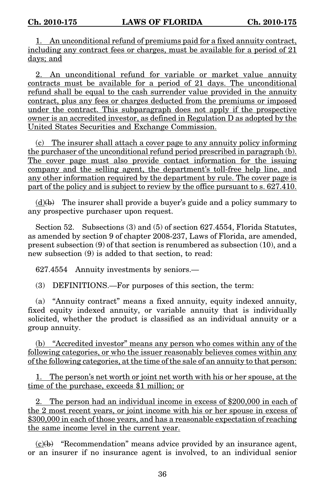1. An unconditional refund of premiums paid for a fixed annuity contract, including any contract fees or charges, must be available for a period of 21 days; and

2. An unconditional refund for variable or market value annuity contracts must be available for a period of 21 days. The unconditional refund shall be equal to the cash surrender value provided in the annuity contract, plus any fees or charges deducted from the premiums or imposed under the contract. This subparagraph does not apply if the prospective owner is an accredited investor, as defined in Regulation D as adopted by the United States Securities and Exchange Commission.

(c) The insurer shall attach a cover page to any annuity policy informing the purchaser of the unconditional refund period prescribed in paragraph (b). The cover page must also provide contact information for the issuing company and the selling agent, the department's toll-free help line, and any other information required by the department by rule. The cover page is part of the policy and is subject to review by the office pursuant to s. 627.410.

 $(d)$ (b) The insurer shall provide a buyer's guide and a policy summary to any prospective purchaser upon request.

Section 52. Subsections (3) and (5) of section 627.4554, Florida Statutes, as amended by section 9 of chapter 2008-237, Laws of Florida, are amended, present subsection (9) of that section is renumbered as subsection (10), and a new subsection (9) is added to that section, to read:

627.4554 Annuity investments by seniors.—

(3) DEFINITIONS.—For purposes of this section, the term:

(a) "Annuity contract" means a fixed annuity, equity indexed annuity, fixed equity indexed annuity, or variable annuity that is individually solicited, whether the product is classified as an individual annuity or a group annuity.

(b) "Accredited investor" means any person who comes within any of the following categories, or who the issuer reasonably believes comes within any of the following categories, at the time of the sale of an annuity to that person:

1. The person's net worth or joint net worth with his or her spouse, at the time of the purchase, exceeds \$1 million; or

2. The person had an individual income in excess of \$200,000 in each of the 2 most recent years, or joint income with his or her spouse in excess of \$300,000 in each of those years, and has a reasonable expectation of reaching the same income level in the current year.

 $(c)(b)$  "Recommendation" means advice provided by an insurance agent, or an insurer if no insurance agent is involved, to an individual senior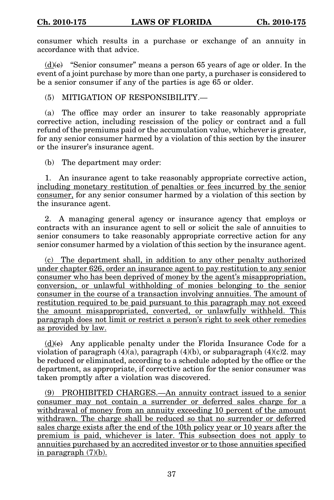consumer which results in a purchase or exchange of an annuity in accordance with that advice.

 $(d)$ (e) "Senior consumer" means a person 65 years of age or older. In the event of a joint purchase by more than one party, a purchaser is considered to be a senior consumer if any of the parties is age 65 or older.

(5) MITIGATION OF RESPONSIBILITY.—

(a) The office may order an insurer to take reasonably appropriate corrective action, including rescission of the policy or contract and a full refund of the premiums paid or the accumulation value, whichever is greater, for any senior consumer harmed by a violation of this section by the insurer or the insurer's insurance agent.

(b) The department may order:

1. An insurance agent to take reasonably appropriate corrective action, including monetary restitution of penalties or fees incurred by the senior consumer, for any senior consumer harmed by a violation of this section by the insurance agent.

2. A managing general agency or insurance agency that employs or contracts with an insurance agent to sell or solicit the sale of annuities to senior consumers to take reasonably appropriate corrective action for any senior consumer harmed by a violation of this section by the insurance agent.

(c) The department shall, in addition to any other penalty authorized under chapter 626, order an insurance agent to pay restitution to any senior consumer who has been deprived of money by the agent's misappropriation, conversion, or unlawful withholding of monies belonging to the senior consumer in the course of a transaction involving annuities. The amount of restitution required to be paid pursuant to this paragraph may not exceed the amount misappropriated, converted, or unlawfully withheld. This paragraph does not limit or restrict a person's right to seek other remedies as provided by law.

 $(d)$ (e) Any applicable penalty under the Florida Insurance Code for a violation of paragraph  $(4)(a)$ , paragraph  $(4)(b)$ , or subparagraph  $(4)(c)2$ . may be reduced or eliminated, according to a schedule adopted by the office or the department, as appropriate, if corrective action for the senior consumer was taken promptly after a violation was discovered.

(9) PROHIBITED CHARGES.—An annuity contract issued to a senior consumer may not contain a surrender or deferred sales charge for a withdrawal of money from an annuity exceeding 10 percent of the amount withdrawn. The charge shall be reduced so that no surrender or deferred sales charge exists after the end of the 10th policy year or 10 years after the premium is paid, whichever is later. This subsection does not apply to annuities purchased by an accredited investor or to those annuities specified in paragraph (7)(b).